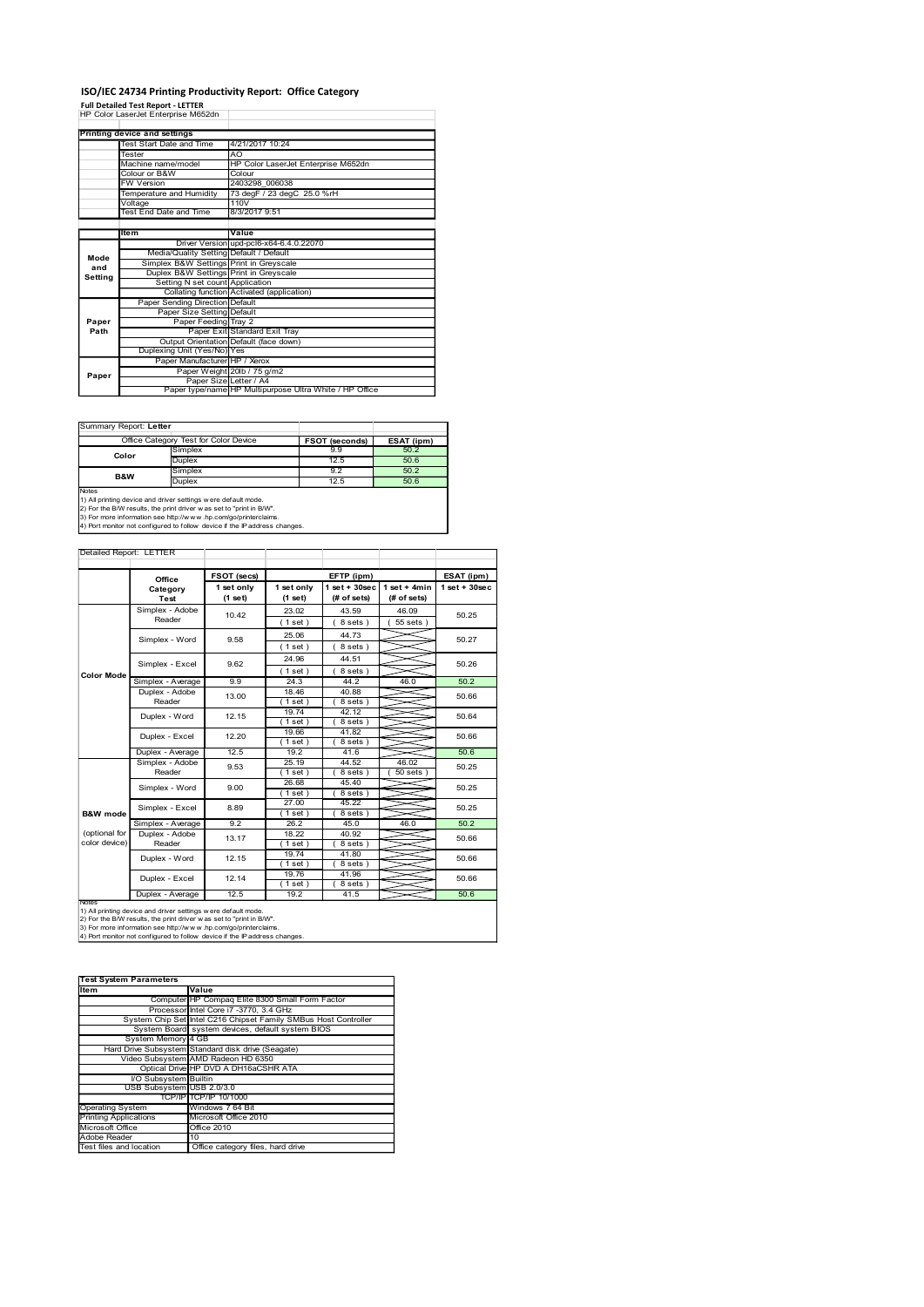## ISO/IEC 24734 Printing Productivity Report: Office Category

|                                                                                                                                               |                                               |                                                              |                         | ISO/IEC 24734 Printing Productivity Report: Office Category                                                                   |                       |                                                         |                                               |                 |
|-----------------------------------------------------------------------------------------------------------------------------------------------|-----------------------------------------------|--------------------------------------------------------------|-------------------------|-------------------------------------------------------------------------------------------------------------------------------|-----------------------|---------------------------------------------------------|-----------------------------------------------|-----------------|
| <b>Full Detailed Test Report - LETTER</b><br>HP Color LaserJet Enterprise M652dn                                                              |                                               |                                                              |                         |                                                                                                                               |                       |                                                         |                                               |                 |
| Printing device and settings                                                                                                                  |                                               |                                                              |                         |                                                                                                                               |                       |                                                         |                                               |                 |
|                                                                                                                                               | Test Start Date and Time<br>Tester            |                                                              | AO                      | 4/21/2017 10:24                                                                                                               |                       |                                                         |                                               |                 |
|                                                                                                                                               | Machine name/model<br>Colour or B&W           |                                                              |                         | Colour                                                                                                                        |                       | HP Color LaserJet Enterprise M652dn                     |                                               |                 |
|                                                                                                                                               | <b>FW Version</b><br>Temperature and Humidity |                                                              |                         | 2403298 006038<br>73 degF / 23 degC 25.0 %rH                                                                                  |                       |                                                         |                                               |                 |
|                                                                                                                                               | Voltage<br><b>Test End Date and Time</b>      |                                                              |                         | 110V<br>8/3/2017 9:51                                                                                                         |                       |                                                         |                                               |                 |
|                                                                                                                                               | Item                                          |                                                              |                         | Value                                                                                                                         |                       |                                                         |                                               |                 |
| Mode                                                                                                                                          |                                               |                                                              |                         | Driver Version upd-pcl6-x64-6.4.0.22070<br>Media/Quality Setting Default / Default<br>Simplex B&W Settings Print in Greyscale |                       |                                                         |                                               |                 |
| and<br>Setting                                                                                                                                |                                               | Setting N set count Application                              |                         | Duplex B&W Settings Print in Greyscale                                                                                        |                       |                                                         |                                               |                 |
|                                                                                                                                               |                                               | Paper Sending Direction Default                              |                         | Collating function Activated (application)                                                                                    |                       |                                                         |                                               |                 |
| Paper                                                                                                                                         |                                               | Paper Size Setting Default                                   | Paper Feeding Tray 2    |                                                                                                                               |                       |                                                         |                                               |                 |
| Path                                                                                                                                          |                                               |                                                              |                         | Paper Exit Standard Exit Tray<br>Output Orientation Default (face down)                                                       |                       |                                                         |                                               |                 |
|                                                                                                                                               |                                               | Duplexing Unit (Yes/No) Yes<br>Paper Manufacturer HP / Xerox |                         |                                                                                                                               |                       |                                                         |                                               |                 |
| Paper                                                                                                                                         |                                               |                                                              |                         | Paper Weight 20lb / 75 g/m2<br>Paper Size Letter / A4                                                                         |                       |                                                         |                                               |                 |
|                                                                                                                                               |                                               |                                                              |                         |                                                                                                                               |                       | Paper type/name HP Multipurpose Ultra White / HP Office |                                               |                 |
| Summary Report: Letter                                                                                                                        |                                               |                                                              |                         |                                                                                                                               |                       |                                                         |                                               |                 |
|                                                                                                                                               | Office Category Test for Color Device         | Simplex                                                      |                         |                                                                                                                               |                       | FSOT (seconds)<br>9.9                                   | ESAT (ipm)<br>50.2                            |                 |
|                                                                                                                                               | Color                                         | Duplex<br>Simplex                                            |                         |                                                                                                                               |                       | 12.5<br>9.2                                             | 50.6<br>50.2                                  |                 |
| B&W<br>Notes                                                                                                                                  |                                               | Duplex                                                       |                         |                                                                                                                               |                       | 12.5                                                    | 50.6                                          |                 |
| 1) All printing device and driver settings w ere default mode.<br>2) For the B/W results, the print driver w as set to "print in B/W".        |                                               |                                                              |                         |                                                                                                                               |                       |                                                         |                                               |                 |
| 3) For more information see http://www.hp.com/go/printerclaims.<br>4) Port monitor not configured to follow device if the IP address changes. |                                               |                                                              |                         |                                                                                                                               |                       |                                                         |                                               |                 |
| Detailed Report: LETTER                                                                                                                       |                                               |                                                              |                         |                                                                                                                               |                       |                                                         |                                               |                 |
|                                                                                                                                               |                                               | Office                                                       | FSOT (secs)             |                                                                                                                               |                       | EFTP (ipm)                                              |                                               | ESAT (ipm)      |
|                                                                                                                                               |                                               | Category<br>Test                                             | 1 set only<br>$(1$ set) |                                                                                                                               | 1 set only<br>(1 set) | (# of sets)                                             | 1 set + 30 sec   1 set + 4 min<br>(# of sets) | $1$ set + 30sec |
|                                                                                                                                               |                                               | Simplex - Adobe<br>Reader                                    | 10.42                   |                                                                                                                               | 23.02                 | 43.59                                                   | 46.09                                         | 50.25           |
|                                                                                                                                               |                                               | Simplex - Word                                               | 9.58                    |                                                                                                                               | (1 set)<br>25.06      | 8 sets)<br>44.73                                        | (55 sets)                                     | 50.27           |
|                                                                                                                                               |                                               | Simplex - Excel                                              | 9.62                    |                                                                                                                               | (1 set)<br>24.96      | 8 sets)<br>44.51                                        |                                               | 50.26           |
|                                                                                                                                               |                                               |                                                              |                         |                                                                                                                               | (1 set)               | (8 sets)                                                |                                               |                 |

|                | Office Category Test for Color Device | FSOT (seconds) | ESAT (ipm) |
|----------------|---------------------------------------|----------------|------------|
| Color          | Simplex                               | 9.9            | 50.2       |
|                | <b>Duplex</b>                         | 12.5           | 50.6       |
| <b>B&amp;W</b> | Simplex                               | 9.2            | 50.2       |
|                | <b>Duplex</b>                         | 12.5           | 50.6       |
| <b>Notes</b>   |                                       |                |            |

|                                         | Voltage<br>Test End Date and Time                                                                                                                                                                                                                                                      | 110V<br>8/3/2017 9:51                                                              |                  |                                                         |                    |  |
|-----------------------------------------|----------------------------------------------------------------------------------------------------------------------------------------------------------------------------------------------------------------------------------------------------------------------------------------|------------------------------------------------------------------------------------|------------------|---------------------------------------------------------|--------------------|--|
|                                         | Item                                                                                                                                                                                                                                                                                   | Value                                                                              |                  |                                                         |                    |  |
|                                         |                                                                                                                                                                                                                                                                                        | Driver Version upd-pcl6-x64-6.4.0.22070                                            |                  |                                                         |                    |  |
| Mode                                    |                                                                                                                                                                                                                                                                                        | Media/Quality Setting Default / Default<br>Simplex B&W Settings Print in Greyscale |                  |                                                         |                    |  |
| and<br>Setting                          |                                                                                                                                                                                                                                                                                        | Duplex B&W Settings Print in Greyscale                                             |                  |                                                         |                    |  |
|                                         |                                                                                                                                                                                                                                                                                        | Setting N set count Application<br>Collating function Activated (application)      |                  |                                                         |                    |  |
|                                         | Paper Sending Direction Default                                                                                                                                                                                                                                                        |                                                                                    |                  |                                                         |                    |  |
| Paper                                   | Paper Feeding                                                                                                                                                                                                                                                                          | Paper Size Setting Default<br>Tray 2                                               |                  |                                                         |                    |  |
| Path                                    |                                                                                                                                                                                                                                                                                        | Paper Exit Standard Exit Tray                                                      |                  |                                                         |                    |  |
|                                         |                                                                                                                                                                                                                                                                                        | Output Orientation Default (face down)                                             |                  |                                                         |                    |  |
|                                         | Duplexing Unit (Yes/No) Yes                                                                                                                                                                                                                                                            | Paper Manufacturer HP / Xerox                                                      |                  |                                                         |                    |  |
| Paper                                   |                                                                                                                                                                                                                                                                                        | Paper Weight 20lb / 75 g/m2                                                        |                  |                                                         |                    |  |
|                                         |                                                                                                                                                                                                                                                                                        | Paper Size Letter / A4                                                             |                  | Paper type/name HP Multipurpose Ultra White / HP Office |                    |  |
|                                         |                                                                                                                                                                                                                                                                                        |                                                                                    |                  |                                                         |                    |  |
|                                         |                                                                                                                                                                                                                                                                                        |                                                                                    |                  |                                                         |                    |  |
|                                         | Summary Report: Letter                                                                                                                                                                                                                                                                 |                                                                                    |                  |                                                         |                    |  |
|                                         | Office Category Test for Color Device                                                                                                                                                                                                                                                  |                                                                                    |                  | <b>FSOT (seconds)</b>                                   | ESAT (ipm)         |  |
| Color                                   | Simplex<br>Duplex                                                                                                                                                                                                                                                                      |                                                                                    |                  | 9.9<br>12.5                                             | 50.2<br>50.6       |  |
| B&W                                     | Simplex                                                                                                                                                                                                                                                                                |                                                                                    |                  | 9.2                                                     | 50.2               |  |
|                                         | Duplex                                                                                                                                                                                                                                                                                 |                                                                                    |                  | 12.5                                                    | 50.6               |  |
| Notes                                   | 1) All printing device and driver settings were default mode.<br>2) For the B/W results, the print driver w as set to "print in B/W".<br>3) For more information see http://www.hp.com/go/printerclaims.<br>4) Port monitor not configured to follow device if the IP address changes. |                                                                                    |                  |                                                         |                    |  |
|                                         | Detailed Report: LETTER                                                                                                                                                                                                                                                                |                                                                                    |                  |                                                         |                    |  |
|                                         |                                                                                                                                                                                                                                                                                        | FSOT (secs)                                                                        |                  | EFTP (ipm)                                              |                    |  |
|                                         | Office<br>Category                                                                                                                                                                                                                                                                     | 1 set only                                                                         | 1 set only       | lset + 30sec                                            | $1 set + 4 min$    |  |
|                                         | Test                                                                                                                                                                                                                                                                                   | (1 set)                                                                            | (1 set)          | (# of sets)                                             | (# of sets)        |  |
|                                         | Simplex - Adobe<br>Reader                                                                                                                                                                                                                                                              | 10.42                                                                              | 23.02            | 43.59                                                   | 46.09              |  |
|                                         |                                                                                                                                                                                                                                                                                        |                                                                                    | (1 set)<br>25.06 | (8 sets)<br>44.73                                       | 55 sets )          |  |
|                                         | Simplex - Word                                                                                                                                                                                                                                                                         | 9.58                                                                               | (1 set)          | (8 sets)                                                |                    |  |
|                                         |                                                                                                                                                                                                                                                                                        |                                                                                    | 24.96            | 44.51                                                   |                    |  |
| Color Mode                              | Simplex - Excel                                                                                                                                                                                                                                                                        | 9.62                                                                               | (1 set)          | 8 sets)                                                 |                    |  |
|                                         | Simplex - Average                                                                                                                                                                                                                                                                      | 9.9                                                                                | 24.3             | 44.2                                                    | 46.0               |  |
|                                         | Duplex - Adobe<br>Reader                                                                                                                                                                                                                                                               | 13.00                                                                              | 18.46<br>(1 set) | 40.88<br>(8 sets)                                       |                    |  |
|                                         | Duplex - Word                                                                                                                                                                                                                                                                          | 12.15                                                                              | 19.74            | 42.12                                                   |                    |  |
|                                         |                                                                                                                                                                                                                                                                                        |                                                                                    | (1 set)          | (8 sets)                                                |                    |  |
|                                         | Duplex - Excel                                                                                                                                                                                                                                                                         | 12.20                                                                              | 19.66<br>(1 set) | 41.82<br>8 sets                                         |                    |  |
|                                         | Duplex - Average                                                                                                                                                                                                                                                                       | 12.5                                                                               | 19.2             | 41.6                                                    |                    |  |
|                                         | Simplex - Adobe<br>Reader                                                                                                                                                                                                                                                              | 9.53                                                                               | 25.19            | 44.52<br>(8 sets)                                       | 46.02<br>$50$ sets |  |
|                                         |                                                                                                                                                                                                                                                                                        |                                                                                    | (1 set)<br>26.68 | 45.40                                                   |                    |  |
|                                         | Simplex - Word                                                                                                                                                                                                                                                                         | 9.00                                                                               | (1 set)          | $8$ sets)                                               |                    |  |
| <b>B&amp;W</b> mode                     | Simplex - Excel                                                                                                                                                                                                                                                                        | 8.89                                                                               | 27.00<br>(1 set) | 45.22<br>(8 sets)                                       |                    |  |
|                                         | Simplex - Average                                                                                                                                                                                                                                                                      | 9.2                                                                                | 26.2             | 45.0                                                    | 46.0               |  |
| (optional for                           | Duplex - Adobe                                                                                                                                                                                                                                                                         | 13.17                                                                              | 18.22            | 40.92                                                   |                    |  |
| color device)                           | Reader                                                                                                                                                                                                                                                                                 |                                                                                    | (1 set)<br>19.74 | 8 sets)<br>41.80                                        |                    |  |
|                                         | Duplex - Word                                                                                                                                                                                                                                                                          | 12.15                                                                              | (1 set )         | (8 sets)                                                |                    |  |
|                                         | Duplex - Excel                                                                                                                                                                                                                                                                         | 12.14                                                                              | 19.76            | 41.96                                                   |                    |  |
|                                         | Duplex - Average                                                                                                                                                                                                                                                                       | 12.5                                                                               | (1 set)<br>19.2  | 8 sets)<br>41.5                                         |                    |  |
| <b>Notes</b>                            |                                                                                                                                                                                                                                                                                        |                                                                                    |                  |                                                         |                    |  |
|                                         | 1) All printing device and driver settings w ere default mode.<br>2) For the B/W results, the print driver w as set to "print in B/W".                                                                                                                                                 |                                                                                    |                  |                                                         |                    |  |
|                                         | 3) For more information see http://www.hp.com/go/printerclaims.<br>4) Port monitor not configured to follow device if the IP address changes.                                                                                                                                          |                                                                                    |                  |                                                         |                    |  |
|                                         |                                                                                                                                                                                                                                                                                        |                                                                                    |                  |                                                         |                    |  |
|                                         |                                                                                                                                                                                                                                                                                        |                                                                                    |                  |                                                         |                    |  |
|                                         |                                                                                                                                                                                                                                                                                        |                                                                                    |                  |                                                         |                    |  |
| Item                                    | <b>Test System Parameters</b><br>Value                                                                                                                                                                                                                                                 |                                                                                    |                  |                                                         |                    |  |
|                                         |                                                                                                                                                                                                                                                                                        | Computer HP Compaq Elite 8300 Small Form Factor                                    |                  |                                                         |                    |  |
|                                         |                                                                                                                                                                                                                                                                                        | Processor Intel Core i7 -3770, 3.4 GHz                                             |                  |                                                         |                    |  |
|                                         | System Chip Set Intel C216 Chipset Family SMBus Host Controller<br>System Board                                                                                                                                                                                                        | system devices, default system BIOS                                                |                  |                                                         |                    |  |
|                                         | System Memory 4 GB                                                                                                                                                                                                                                                                     |                                                                                    |                  |                                                         |                    |  |
|                                         | Hard Drive Subsystem Standard disk drive (Seagate)                                                                                                                                                                                                                                     |                                                                                    |                  |                                                         |                    |  |
|                                         | Video Subsystem AMD Radeon HD 6350<br>Optical Drive HP DVD A DH16aCSHR ATA                                                                                                                                                                                                             |                                                                                    |                  |                                                         |                    |  |
|                                         | I/O Subsystem Builtin                                                                                                                                                                                                                                                                  |                                                                                    |                  |                                                         |                    |  |
|                                         | USB Subsystem USB 2.0/3.0                                                                                                                                                                                                                                                              |                                                                                    |                  |                                                         |                    |  |
| <b>Operating System</b>                 |                                                                                                                                                                                                                                                                                        | TCP/IP TCP/IP 10/1000<br>Windows 7 64 Bit                                          |                  |                                                         |                    |  |
| <b>Printing Applications</b>            |                                                                                                                                                                                                                                                                                        | Microsoft Office 2010                                                              |                  |                                                         |                    |  |
| Microsoft Office                        |                                                                                                                                                                                                                                                                                        | Office 2010                                                                        |                  |                                                         |                    |  |
| Adobe Reader<br>Test files and location | 10                                                                                                                                                                                                                                                                                     | Office category files, hard drive                                                  |                  |                                                         |                    |  |
|                                         |                                                                                                                                                                                                                                                                                        |                                                                                    |                  |                                                         |                    |  |
|                                         |                                                                                                                                                                                                                                                                                        |                                                                                    |                  |                                                         |                    |  |
|                                         |                                                                                                                                                                                                                                                                                        |                                                                                    |                  |                                                         |                    |  |
|                                         |                                                                                                                                                                                                                                                                                        |                                                                                    |                  |                                                         |                    |  |
|                                         |                                                                                                                                                                                                                                                                                        |                                                                                    |                  |                                                         |                    |  |
|                                         |                                                                                                                                                                                                                                                                                        |                                                                                    |                  |                                                         |                    |  |
|                                         |                                                                                                                                                                                                                                                                                        |                                                                                    |                  |                                                         |                    |  |

| <b>Test System Parameters</b> |                                                                 |  |  |  |
|-------------------------------|-----------------------------------------------------------------|--|--|--|
| Item                          | Value                                                           |  |  |  |
|                               | Computer HP Compaq Elite 8300 Small Form Factor                 |  |  |  |
|                               | Processor Intel Core i7 -3770, 3.4 GHz                          |  |  |  |
|                               | System Chip Set Intel C216 Chipset Family SMBus Host Controller |  |  |  |
|                               | System Board system devices, default system BIOS                |  |  |  |
| System Memory 4 GB            |                                                                 |  |  |  |
|                               | Hard Drive Subsystem Standard disk drive (Seagate)              |  |  |  |
|                               | Video Subsystem AMD Radeon HD 6350                              |  |  |  |
|                               | Optical Drive HP DVD A DH16aCSHR ATA                            |  |  |  |
| <b>VO Subsystem Builtin</b>   |                                                                 |  |  |  |
| USB Subsystem USB 2.0/3.0     |                                                                 |  |  |  |
|                               | <b>TCP/IP TCP/IP 10/1000</b>                                    |  |  |  |
| <b>Operating System</b>       | Windows 7 64 Bit                                                |  |  |  |
| Printing Applications         | Microsoft Office 2010                                           |  |  |  |
| Microsoft Office              | Office 2010                                                     |  |  |  |
| Adobe Reader                  | 10                                                              |  |  |  |
| Test files and location       | Office category files, hard drive                               |  |  |  |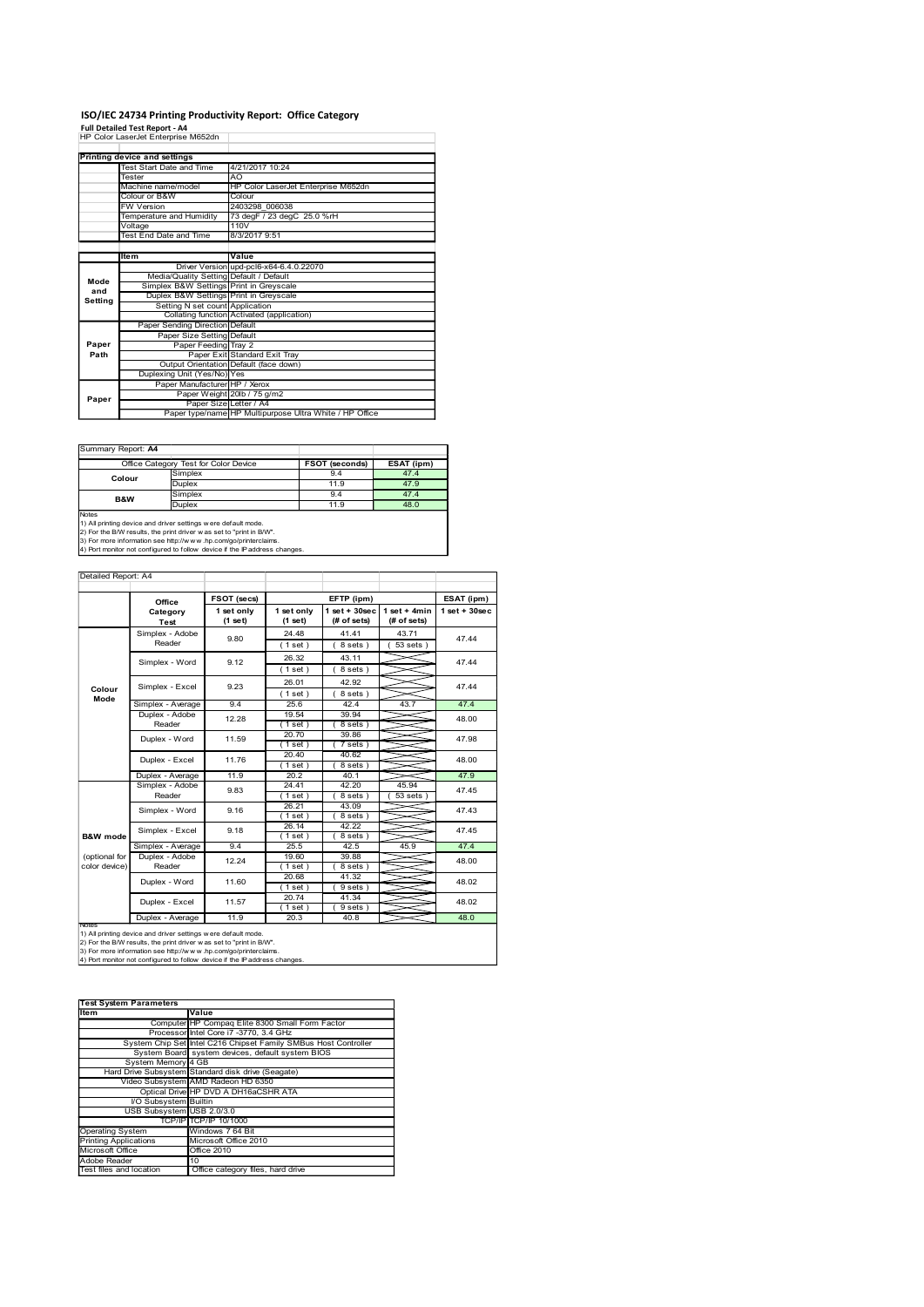## ISO/IEC 24734 Printing Productivity Report: Office Category

| ISO/IEC 24734 Printing Productivity Report: Office Category                                                                                                                                               |                                          |                                                                                    |                       |                                                  |                       |                                                         |                               |                 |
|-----------------------------------------------------------------------------------------------------------------------------------------------------------------------------------------------------------|------------------------------------------|------------------------------------------------------------------------------------|-----------------------|--------------------------------------------------|-----------------------|---------------------------------------------------------|-------------------------------|-----------------|
| Full Detailed Test Report - A4<br>HP Color LaserJet Enterprise M652dn                                                                                                                                     |                                          |                                                                                    |                       |                                                  |                       |                                                         |                               |                 |
| <b>Printing device and settings</b>                                                                                                                                                                       |                                          |                                                                                    |                       |                                                  |                       |                                                         |                               |                 |
|                                                                                                                                                                                                           | Test Start Date and Time<br>Tester       |                                                                                    | AO                    | 4/21/2017 10:24                                  |                       |                                                         |                               |                 |
|                                                                                                                                                                                                           | Machine name/model<br>Colour or B&W      |                                                                                    |                       | Colour                                           |                       | HP Color LaserJet Enterprise M652dn                     |                               |                 |
|                                                                                                                                                                                                           | W Version<br>Temperature and Humidity    |                                                                                    |                       | 2403298 006038<br>73 degF / 23 degC 25.0 %rH     |                       |                                                         |                               |                 |
|                                                                                                                                                                                                           | Voltage<br><b>Test End Date and Time</b> |                                                                                    |                       | 110V<br>8/3/2017 9:51                            |                       |                                                         |                               |                 |
|                                                                                                                                                                                                           | ltem                                     |                                                                                    |                       | Value<br>Driver Version upd-pcl6-x64-6.4.0.22070 |                       |                                                         |                               |                 |
| Mode                                                                                                                                                                                                      |                                          | Media/Quality Setting Default / Default<br>Simplex B&W Settings Print in Greyscale |                       |                                                  |                       |                                                         |                               |                 |
| and<br>Setting                                                                                                                                                                                            |                                          | Duplex B&W Settings Print in Greyscale<br>Setting N set count Application          |                       |                                                  |                       |                                                         |                               |                 |
|                                                                                                                                                                                                           |                                          | Collating function Activated (application)<br>Paper Sending Direction Default      |                       |                                                  |                       |                                                         |                               |                 |
| Paper                                                                                                                                                                                                     |                                          | Paper Size Setting Default<br>Paper Feeding Tray 2                                 |                       |                                                  |                       |                                                         |                               |                 |
| Path                                                                                                                                                                                                      |                                          | Output Orientation Default (face down)                                             |                       | Paper Exit Standard Exit Tray                    |                       |                                                         |                               |                 |
|                                                                                                                                                                                                           |                                          | Duplexing Unit (Yes/No) Yes<br>Paper Manufacturer HP / Xerox                       |                       | Paper Weight 20lb / 75 g/m2                      |                       |                                                         |                               |                 |
| Paper                                                                                                                                                                                                     |                                          |                                                                                    |                       | Paper Size Letter / A4                           |                       | Paper type/name HP Multipurpose Ultra White / HP Office |                               |                 |
|                                                                                                                                                                                                           |                                          |                                                                                    |                       |                                                  |                       |                                                         |                               |                 |
| Summary Report: A4                                                                                                                                                                                        |                                          |                                                                                    |                       |                                                  |                       |                                                         |                               |                 |
|                                                                                                                                                                                                           | Office Category Test for Color Device    | Simplex                                                                            |                       |                                                  |                       | <b>FSOT (seconds)</b><br>9.4                            | ESAT (ipm)<br>47.4            |                 |
| Colour                                                                                                                                                                                                    |                                          | <b>Duplex</b><br>Simplex                                                           |                       |                                                  |                       | 11.9<br>9.4                                             | 47.9<br>47.4                  |                 |
| B&W<br>Notes                                                                                                                                                                                              |                                          | Duplex                                                                             |                       |                                                  |                       | 11.9                                                    | 48.0                          |                 |
| 1) All printing device and driver settings w ere default mode.<br>2) For the B/W results, the print driver w as set to "print in B/W".<br>3) For more information see http://www.hp.com/go/printerclaims. |                                          |                                                                                    |                       |                                                  |                       |                                                         |                               |                 |
| 4) Port monitor not configured to follow device if the IP address changes.                                                                                                                                |                                          |                                                                                    |                       |                                                  |                       |                                                         |                               |                 |
| Detailed Report: A4                                                                                                                                                                                       |                                          |                                                                                    |                       |                                                  |                       |                                                         |                               |                 |
|                                                                                                                                                                                                           | Office                                   |                                                                                    | FSOT (secs)           |                                                  |                       | EFTP (ipm)                                              |                               | ESAT (ipm)      |
|                                                                                                                                                                                                           | Category<br>Test                         |                                                                                    | 1 set only<br>(1 set) |                                                  | 1 set only<br>(1 set) | 1 set + 30sec<br>(# of sets)                            | $1$ set + 4min<br>(# of sets) | $1$ set + 30sec |
|                                                                                                                                                                                                           | Simplex - Adobe<br>Reader                |                                                                                    | 9.80                  |                                                  | 24.48<br>(1 set)      | 41.41<br>8 sets)                                        | 43.71<br>(53 sets)            | 47.44           |
|                                                                                                                                                                                                           | Simplex - Word                           |                                                                                    | 9.12                  |                                                  | 26.32                 | 43.11                                                   |                               | 47.44           |
|                                                                                                                                                                                                           |                                          |                                                                                    |                       |                                                  | (1 set)<br>26.01      | 8 sets)<br>42.92                                        |                               |                 |
| Colour                                                                                                                                                                                                    | Simplex - Excel                          |                                                                                    | 9.23                  |                                                  | (1 set)               | (8 sets)                                                |                               | 47.44           |

| Summary Report: A4 |                                       |                |            |
|--------------------|---------------------------------------|----------------|------------|
|                    | Office Category Test for Color Device | FSOT (seconds) | ESAT (ipm) |
| Colour             | Simplex                               | 9.4            | 47.4       |
|                    | Duplex                                | 11.9           | 47.9       |
| <b>B&amp;W</b>     | Simplex                               | 9.4            | 47.4       |
|                    | <b>Duplex</b>                         | 11.9           | 48.0       |
| <b>Notes</b>       |                                       |                |            |

|                                                  | voitage<br>110V<br>8/3/2017 9:51<br>Test End Date and Time                                                                                                                                                                                                                              |                                                                                           |                          |                                |                    |      |
|--------------------------------------------------|-----------------------------------------------------------------------------------------------------------------------------------------------------------------------------------------------------------------------------------------------------------------------------------------|-------------------------------------------------------------------------------------------|--------------------------|--------------------------------|--------------------|------|
|                                                  |                                                                                                                                                                                                                                                                                         |                                                                                           |                          |                                |                    |      |
|                                                  | ltem                                                                                                                                                                                                                                                                                    | Value<br><b>Driver Version</b>                                                            | upd-pcl6-x64-6.4.0.22070 |                                |                    |      |
| Mode                                             |                                                                                                                                                                                                                                                                                         | Media/Quality Setting Default / Default                                                   |                          |                                |                    |      |
| and                                              |                                                                                                                                                                                                                                                                                         | Simplex B&W Settings Print in Greyscale<br>Duplex B&W Settings Print in Greyscale         |                          |                                |                    |      |
| Setting                                          |                                                                                                                                                                                                                                                                                         | Setting N set count Application                                                           |                          |                                |                    |      |
|                                                  | Paper Sending Direction Default                                                                                                                                                                                                                                                         | Collating function Activated (application)                                                |                          |                                |                    |      |
|                                                  | Paper Size Setting                                                                                                                                                                                                                                                                      | Default                                                                                   |                          |                                |                    |      |
| Paper                                            |                                                                                                                                                                                                                                                                                         | Paper Feeding<br>Tray 2                                                                   |                          |                                |                    |      |
| Path                                             |                                                                                                                                                                                                                                                                                         | Standard Exit Tray<br>Paper Exit<br>Output Orientation Default (face down)                |                          |                                |                    |      |
|                                                  | Duplexing Unit (Yes/No) Yes                                                                                                                                                                                                                                                             |                                                                                           |                          |                                |                    |      |
|                                                  |                                                                                                                                                                                                                                                                                         | Paper Manufacturer HP / Xerox                                                             |                          |                                |                    |      |
| Paper                                            |                                                                                                                                                                                                                                                                                         | Paper Weight 20lb / 75 g/m2<br>Paper Size Letter / A4                                     |                          |                                |                    |      |
|                                                  |                                                                                                                                                                                                                                                                                         | Paper type/name HP Multipurpose Ultra White / HP Office                                   |                          |                                |                    |      |
|                                                  |                                                                                                                                                                                                                                                                                         |                                                                                           |                          |                                |                    |      |
|                                                  |                                                                                                                                                                                                                                                                                         |                                                                                           |                          |                                |                    |      |
|                                                  | Summary Report: A4                                                                                                                                                                                                                                                                      |                                                                                           |                          |                                |                    |      |
|                                                  | Office Category Test for Color Device<br>Simplex                                                                                                                                                                                                                                        |                                                                                           |                          | <b>FSOT</b> (seconds)<br>9.4   | ESAT (ipm)<br>47.4 |      |
|                                                  | Colour<br>Duplex                                                                                                                                                                                                                                                                        |                                                                                           |                          | 11.9                           | 47.9               |      |
|                                                  | Simplex<br>B&W                                                                                                                                                                                                                                                                          |                                                                                           |                          | 9.4                            | 47.4               |      |
|                                                  | Duplex                                                                                                                                                                                                                                                                                  |                                                                                           |                          | 11.9                           | 48.0               |      |
| Notes                                            | 1) All printing device and driver settings w ere default mode.<br>2) For the B/W results, the print driver w as set to "print in B/W".<br>3) For more information see http://www.hp.com/go/printerclaims.<br>4) Port monitor not configured to follow device if the IP address changes. |                                                                                           |                          |                                |                    |      |
|                                                  |                                                                                                                                                                                                                                                                                         |                                                                                           |                          |                                |                    |      |
| Detailed Report: A4                              |                                                                                                                                                                                                                                                                                         |                                                                                           |                          |                                |                    |      |
|                                                  |                                                                                                                                                                                                                                                                                         |                                                                                           |                          |                                |                    |      |
|                                                  | Office                                                                                                                                                                                                                                                                                  | FSOT (secs)<br>1 set only                                                                 | 1 set only               | EFTP (ipm)<br>$1 set + 30 sec$ | $1 set + 4 min$    |      |
|                                                  | Category<br>Test                                                                                                                                                                                                                                                                        | (1 set)                                                                                   | (1 set)                  | (# of sets)                    | (# of sets)        |      |
|                                                  | Simplex - Adobe                                                                                                                                                                                                                                                                         | 9.80                                                                                      | 24.48                    | 41.41                          | 43.71              |      |
|                                                  | Reader                                                                                                                                                                                                                                                                                  |                                                                                           | (1 set)                  | (8 sets)                       | 53 sets)           |      |
|                                                  | Simplex - Word                                                                                                                                                                                                                                                                          | 9.12                                                                                      | 26.32                    | 43.11                          |                    |      |
|                                                  |                                                                                                                                                                                                                                                                                         |                                                                                           | (1 set)<br>26.01         | 8 sets)<br>42.92               |                    |      |
| Colour                                           | Simplex - Excel                                                                                                                                                                                                                                                                         | 9.23                                                                                      | (1 set)                  | 8 sets)                        |                    |      |
| Mode                                             | Simplex - Average                                                                                                                                                                                                                                                                       | 9.4                                                                                       | 25.6                     | 42.4                           | 43.7               |      |
|                                                  | Duplex - Adobe                                                                                                                                                                                                                                                                          | 12.28                                                                                     | 19.54                    | 39.94                          |                    |      |
|                                                  | Reader                                                                                                                                                                                                                                                                                  |                                                                                           | (1 set)                  | 8 sets                         |                    |      |
|                                                  | Duplex - Word                                                                                                                                                                                                                                                                           | 11.59                                                                                     | 20.70<br>(1 set )        | 39.86<br>7 sets)               |                    |      |
|                                                  |                                                                                                                                                                                                                                                                                         |                                                                                           | 20.40                    | 40.62                          |                    |      |
|                                                  | Duplex - Excel                                                                                                                                                                                                                                                                          | 11.76                                                                                     | (1 set)                  | 8 sets                         |                    |      |
|                                                  | Duplex - Average<br>Simplex - Adobe                                                                                                                                                                                                                                                     | 11.9                                                                                      | 20.2<br>24.41            | 40.1<br>42.20                  | 45.94              |      |
|                                                  | Reader                                                                                                                                                                                                                                                                                  | 9.83                                                                                      | (1 set)                  | (8 sets)                       | 53 sets)           |      |
|                                                  | Simplex - Word                                                                                                                                                                                                                                                                          | 9.16                                                                                      | 26.21                    | 43.09                          |                    |      |
|                                                  |                                                                                                                                                                                                                                                                                         |                                                                                           | (1 set)<br>26.14         | 8 sets)<br>42.22               |                    |      |
| <b>B&amp;W</b> mode                              | Simplex - Excel                                                                                                                                                                                                                                                                         | 9.18                                                                                      | (1 set)                  | 8 sets                         |                    |      |
|                                                  | Simplex - Average                                                                                                                                                                                                                                                                       | 9.4                                                                                       | 25.5                     | 42.5                           | 45.9               |      |
|                                                  | Duplex - Adobe<br>Reader                                                                                                                                                                                                                                                                | 12.24                                                                                     | 19.60<br>(1 set)         | 39.88<br>8 sets)               |                    |      |
| (optional for                                    |                                                                                                                                                                                                                                                                                         |                                                                                           | 20.68                    | 41.32                          |                    |      |
| color device)                                    |                                                                                                                                                                                                                                                                                         |                                                                                           | (1 set)                  | (9 sets)                       |                    |      |
|                                                  | Duplex - Word                                                                                                                                                                                                                                                                           | 11.60                                                                                     |                          | 41.34                          |                    |      |
|                                                  | Duplex - Excel                                                                                                                                                                                                                                                                          | 11.57                                                                                     | 20.74                    |                                |                    |      |
|                                                  |                                                                                                                                                                                                                                                                                         |                                                                                           | (1 set)                  | 9 sets                         |                    |      |
| Note:                                            | Duplex - Average                                                                                                                                                                                                                                                                        | 11.9                                                                                      | 20.3                     | 40.8                           |                    |      |
|                                                  | 1) All printing device and driver settings w ere default mode.<br>2) For the B/W results, the print driver w as set to "print in B/W".                                                                                                                                                  |                                                                                           |                          |                                |                    |      |
|                                                  | 3) For more information see http://www.hp.com/go/printerclaims.                                                                                                                                                                                                                         |                                                                                           |                          |                                |                    |      |
|                                                  | 4) Port monitor not configured to follow device if the IP address changes.                                                                                                                                                                                                              |                                                                                           |                          |                                |                    |      |
|                                                  |                                                                                                                                                                                                                                                                                         |                                                                                           |                          |                                |                    |      |
|                                                  |                                                                                                                                                                                                                                                                                         |                                                                                           |                          |                                |                    |      |
|                                                  | <b>Test System Parameters</b>                                                                                                                                                                                                                                                           |                                                                                           |                          |                                |                    |      |
| Item                                             |                                                                                                                                                                                                                                                                                         | Value                                                                                     |                          |                                |                    |      |
|                                                  |                                                                                                                                                                                                                                                                                         | Computer HP Compaq Elite 8300 Small Form Factor<br>Processor Intel Core i7 -3770, 3.4 GHz |                          |                                |                    |      |
|                                                  | System Chip Set Intel C216 Chipset Family SMBus Host Controller                                                                                                                                                                                                                         |                                                                                           |                          |                                |                    |      |
|                                                  | System Board                                                                                                                                                                                                                                                                            | system devices, default system BIOS                                                       |                          |                                |                    |      |
|                                                  | System Memory<br>Hard Drive Subsystem Standard disk drive (Seagate)                                                                                                                                                                                                                     | 4 GB                                                                                      |                          |                                |                    |      |
|                                                  | Video Subsystem AMD Radeon HD 6350                                                                                                                                                                                                                                                      |                                                                                           |                          |                                |                    |      |
|                                                  |                                                                                                                                                                                                                                                                                         | Optical Drive HP DVD A DH16aCSHR ATA                                                      |                          |                                |                    |      |
|                                                  | I/O Subsystem Builtin<br>USB Subsystem USB 2.0/3.0                                                                                                                                                                                                                                      |                                                                                           |                          |                                |                    |      |
|                                                  |                                                                                                                                                                                                                                                                                         | TCP/IP TCP/IP 10/1000                                                                     |                          |                                |                    |      |
| <b>Operating System</b>                          |                                                                                                                                                                                                                                                                                         | Windows 7 64 Bit                                                                          |                          |                                |                    |      |
| <b>Printing Applications</b><br>Microsoft Office |                                                                                                                                                                                                                                                                                         | Microsoft Office 2010<br>Office 2010                                                      |                          |                                |                    |      |
| Adobe Reader                                     | 10                                                                                                                                                                                                                                                                                      |                                                                                           |                          |                                |                    |      |
|                                                  | Test files and location                                                                                                                                                                                                                                                                 | Office category files, hard drive                                                         |                          |                                |                    |      |
|                                                  |                                                                                                                                                                                                                                                                                         |                                                                                           |                          |                                |                    |      |
|                                                  |                                                                                                                                                                                                                                                                                         |                                                                                           |                          |                                |                    |      |
|                                                  |                                                                                                                                                                                                                                                                                         |                                                                                           |                          |                                |                    | 48.0 |
|                                                  |                                                                                                                                                                                                                                                                                         |                                                                                           |                          |                                |                    |      |
|                                                  |                                                                                                                                                                                                                                                                                         |                                                                                           |                          |                                |                    |      |

| <b>Test System Parameters</b> |                                                                 |  |  |  |  |
|-------------------------------|-----------------------------------------------------------------|--|--|--|--|
| Item                          | Value                                                           |  |  |  |  |
|                               | Computer HP Compaq Elite 8300 Small Form Factor                 |  |  |  |  |
|                               | Processor Intel Core i7 -3770, 3.4 GHz                          |  |  |  |  |
|                               | System Chip Set Intel C216 Chipset Family SMBus Host Controller |  |  |  |  |
|                               | System Board system devices, default system BIOS                |  |  |  |  |
| System Memory 4 GB            |                                                                 |  |  |  |  |
|                               | Hard Drive Subsystem Standard disk drive (Seagate)              |  |  |  |  |
|                               | Video Subsystem AMD Radeon HD 6350                              |  |  |  |  |
|                               | Optical Drive HP DVD A DH16aCSHR ATA                            |  |  |  |  |
| <b>VO Subsystem Builtin</b>   |                                                                 |  |  |  |  |
| USB Subsystem USB 2.0/3.0     |                                                                 |  |  |  |  |
|                               | TCP/IP TCP/IP 10/1000                                           |  |  |  |  |
| <b>Operating System</b>       | Windows 7 64 Bit                                                |  |  |  |  |
| <b>Printing Applications</b>  | Microsoft Office 2010                                           |  |  |  |  |
| Microsoft Office              | Office 2010                                                     |  |  |  |  |
| Adobe Reader                  | 10                                                              |  |  |  |  |
| Test files and location       | Office category files, hard drive                               |  |  |  |  |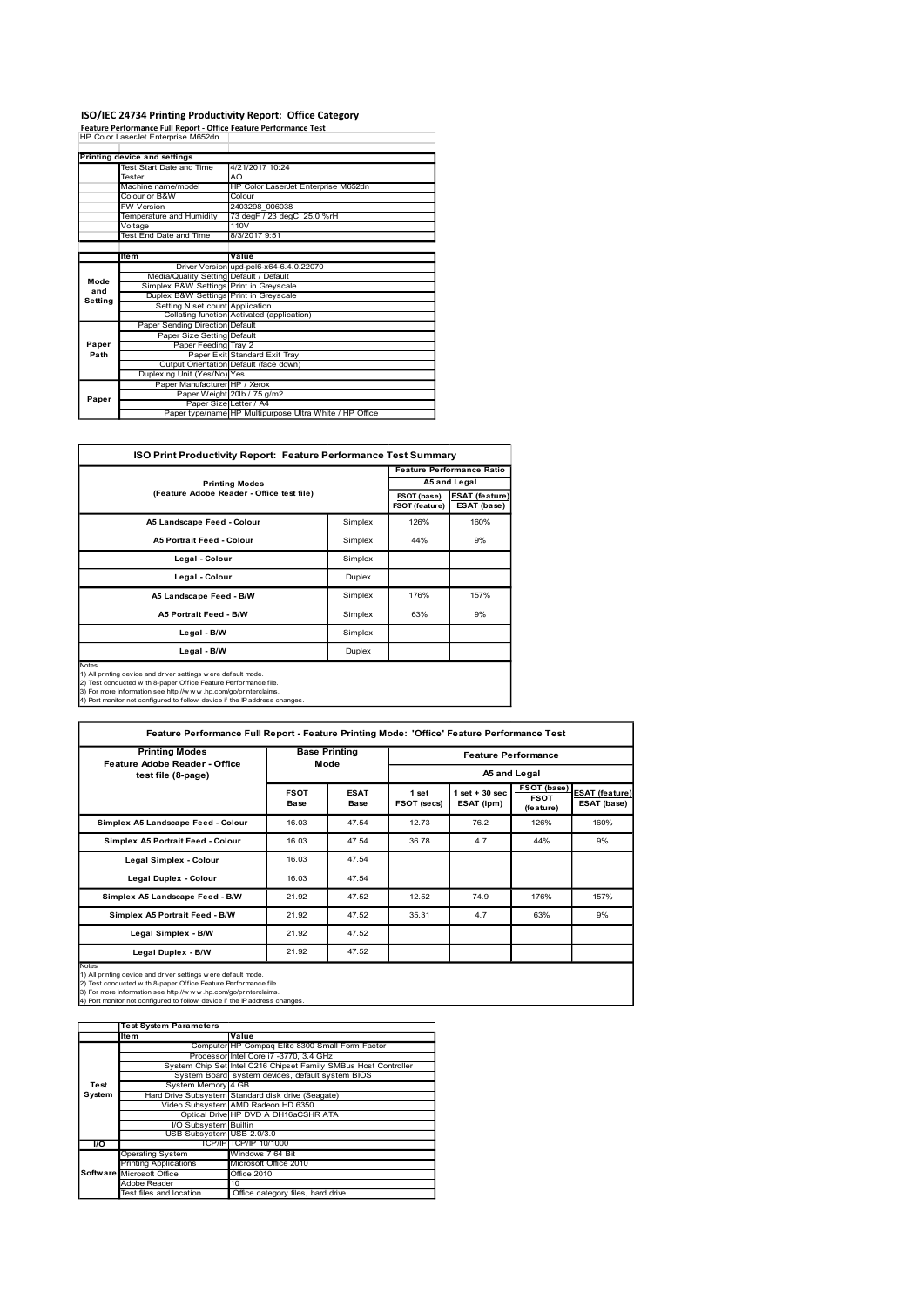# ISO/IEC 24734 Printing Productivity Report: Office Category

|               | Feature Performance Full Report - Office Feature Performance Test                 | ISO/IEC 24734 Printing Productivity Report: Office Category        |             |                                       |
|---------------|-----------------------------------------------------------------------------------|--------------------------------------------------------------------|-------------|---------------------------------------|
|               | HP Color LaserJet Enterprise M652dn                                               |                                                                    |             |                                       |
|               | Printing device and settings                                                      |                                                                    |             |                                       |
|               | Test Start Date and Time<br>Tester                                                | 4/21/2017 10:24<br>AO                                              |             |                                       |
|               | Machine name/model                                                                | HP Color LaserJet Enterprise M652dn                                |             |                                       |
|               | Colour or B&W<br>FW Version                                                       | Colour<br>2403298 006038                                           |             |                                       |
|               | Temperature and Humidity                                                          |                                                                    |             |                                       |
|               |                                                                                   | 73 degF / 23 degC 25.0 %rH                                         |             |                                       |
|               | Voltage<br><b>Test End Date and Time</b>                                          | 110V<br>8/3/2017 9:51                                              |             |                                       |
|               |                                                                                   |                                                                    |             |                                       |
|               | ltem                                                                              | Value<br>Driver Version upd-pcl6-x64-6.4.0.22070                   |             |                                       |
| Mode          | Media/Quality Setting Default / Default                                           |                                                                    |             |                                       |
| and           | Simplex B&W Settings Print in Greyscale<br>Duplex B&W Settings Print in Greyscale |                                                                    |             |                                       |
| Setting       | Setting N set count Application                                                   |                                                                    |             |                                       |
|               | Paper Sending Direction Default                                                   | Collating function Activated (application)                         |             |                                       |
|               | Paper Size Setting Default                                                        |                                                                    |             |                                       |
| Paper<br>Path | Paper Feeding Tray 2                                                              | Paper Exit Standard Exit Tray                                      |             |                                       |
|               |                                                                                   | Output Orientation Default (face down)                             |             |                                       |
|               | Duplexing Unit (Yes/No) Yes<br>Paper Manufacturer HP / Xerox                      |                                                                    |             |                                       |
| Paper         | Paper Weight                                                                      | 20lb / 75 g/m2                                                     |             |                                       |
|               | Paper Size Letter / A4                                                            | Paper type/name HP Multipurpose Ultra White / HP Office            |             |                                       |
|               |                                                                                   |                                                                    |             |                                       |
|               |                                                                                   | ISO Print Productivity Report: Feature Performance Test Summary    |             |                                       |
|               |                                                                                   |                                                                    |             | <b>Feature Performance Ratio</b>      |
|               |                                                                                   | <b>Printing Modes</b><br>(Feature Adobe Reader - Office test file) | FSOT (base) | A5 and Legal<br><b>ESAT</b> (feature) |

|         | ISO/IEC 24734 Printing Productivity Report: Office Category                                                                                                                                                                                                                        |                                                                                            |                                  |      |                                      |                                                      |
|---------|------------------------------------------------------------------------------------------------------------------------------------------------------------------------------------------------------------------------------------------------------------------------------------|--------------------------------------------------------------------------------------------|----------------------------------|------|--------------------------------------|------------------------------------------------------|
|         | Feature Performance Full Report - Office Feature Performance Test<br>HP Color LaserJet Enterprise M652dn                                                                                                                                                                           |                                                                                            |                                  |      |                                      |                                                      |
|         |                                                                                                                                                                                                                                                                                    |                                                                                            |                                  |      |                                      |                                                      |
|         | <b>Printing device and settings</b>                                                                                                                                                                                                                                                |                                                                                            |                                  |      |                                      |                                                      |
|         | Test Start Date and Time<br>Tester                                                                                                                                                                                                                                                 | 4/21/2017 10:24<br>AO                                                                      |                                  |      |                                      |                                                      |
|         | Machine name/model                                                                                                                                                                                                                                                                 | HP Color LaserJet Enterprise M652dn                                                        |                                  |      |                                      |                                                      |
|         | Colour or B&W                                                                                                                                                                                                                                                                      | Colour                                                                                     |                                  |      |                                      |                                                      |
|         | W Version                                                                                                                                                                                                                                                                          | 2403298 006038                                                                             |                                  |      |                                      |                                                      |
|         | <b>Femperature and Humidity</b><br>Voltage                                                                                                                                                                                                                                         | 73 degF / 23 degC 25.0 %rH<br>110V                                                         |                                  |      |                                      |                                                      |
|         | <b>Test End Date and Time</b>                                                                                                                                                                                                                                                      | 8/3/2017 9:51                                                                              |                                  |      |                                      |                                                      |
|         |                                                                                                                                                                                                                                                                                    |                                                                                            |                                  |      |                                      |                                                      |
|         | ltem                                                                                                                                                                                                                                                                               | Value                                                                                      |                                  |      |                                      |                                                      |
|         |                                                                                                                                                                                                                                                                                    | Driver Version upd-pcl6-x64-6.4.0.22070                                                    |                                  |      |                                      |                                                      |
| Mode    | Media/Quality Setting<br>Simplex B&W Settings                                                                                                                                                                                                                                      | Default / Default<br>Print in Greyscale                                                    |                                  |      |                                      |                                                      |
| and     | Duplex B&W Settings Print in Greyscale                                                                                                                                                                                                                                             |                                                                                            |                                  |      |                                      |                                                      |
| Setting | Setting N set count Application                                                                                                                                                                                                                                                    |                                                                                            |                                  |      |                                      |                                                      |
|         |                                                                                                                                                                                                                                                                                    | Collating function Activated (application)                                                 |                                  |      |                                      |                                                      |
|         | Paper Sending Direction Default                                                                                                                                                                                                                                                    |                                                                                            |                                  |      |                                      |                                                      |
| Paper   | Paper Size Setting Default<br>Paper Feeding Tray 2                                                                                                                                                                                                                                 |                                                                                            |                                  |      |                                      |                                                      |
| Path    |                                                                                                                                                                                                                                                                                    | Paper Exit Standard Exit Tray                                                              |                                  |      |                                      |                                                      |
|         | Output Orientation Default (face down)                                                                                                                                                                                                                                             |                                                                                            |                                  |      |                                      |                                                      |
|         | Duplexing Unit (Yes/No) Yes                                                                                                                                                                                                                                                        |                                                                                            |                                  |      |                                      |                                                      |
|         | Paper Manufacturer HP / Xerox<br>Paper Weight 20lb / 75 g/m2                                                                                                                                                                                                                       |                                                                                            |                                  |      |                                      |                                                      |
| Paper   | Paper Size Letter / A4                                                                                                                                                                                                                                                             |                                                                                            |                                  |      |                                      |                                                      |
|         |                                                                                                                                                                                                                                                                                    | Paper type/name HP Multipurpose Ultra White / HP Office                                    |                                  |      |                                      |                                                      |
|         | ISO Print Productivity Report: Feature Performance Test Summary                                                                                                                                                                                                                    |                                                                                            | <b>Feature Performance Ratio</b> |      |                                      |                                                      |
|         |                                                                                                                                                                                                                                                                                    | <b>Printing Modes</b>                                                                      |                                  |      | A5 and Legal                         |                                                      |
|         | (Feature Adobe Reader - Office test file)<br>FSOT (base)<br>FSOT (feature)                                                                                                                                                                                                         |                                                                                            |                                  |      | <b>ESAT (feature)</b><br>ESAT (base) |                                                      |
|         | A5 Landscape Feed - Colour<br>Simplex                                                                                                                                                                                                                                              |                                                                                            |                                  | 126% | 160%                                 |                                                      |
|         | A5 Portrait Feed - Colour<br>Simplex                                                                                                                                                                                                                                               |                                                                                            |                                  | 44%  | 9%                                   |                                                      |
|         | Legal - Colour<br>Simplex                                                                                                                                                                                                                                                          |                                                                                            |                                  |      |                                      |                                                      |
|         | Legal - Colour                                                                                                                                                                                                                                                                     |                                                                                            | Duplex                           |      |                                      |                                                      |
|         | A5 Landscape Feed - B/W                                                                                                                                                                                                                                                            |                                                                                            | Simplex                          | 176% | 157%                                 |                                                      |
|         | A5 Portrait Feed - B/W                                                                                                                                                                                                                                                             |                                                                                            | Simplex                          | 63%  | 9%                                   |                                                      |
|         | Legal - B/W                                                                                                                                                                                                                                                                        |                                                                                            | Simplex                          |      |                                      |                                                      |
|         | Legal - B/W                                                                                                                                                                                                                                                                        |                                                                                            | Duplex                           |      |                                      |                                                      |
| Notes   | 1) All printing device and driver settings w ere default mode.<br>2) Test conducted with 8-paper Office Feature Performance file.<br>3) For more information see http://www.hp.com/go/printerclaims.<br>4) Port monitor not configured to follow device if the IP address changes. |                                                                                            |                                  |      |                                      |                                                      |
|         |                                                                                                                                                                                                                                                                                    | Feature Performance Full Report - Feature Printing Mode: 'Office' Feature Performance Test |                                  |      |                                      |                                                      |
|         | <b>Printing Modes</b>                                                                                                                                                                                                                                                              |                                                                                            |                                  |      |                                      |                                                      |
|         | Feature Adobe Reader - Office                                                                                                                                                                                                                                                      |                                                                                            | <b>Base Printing</b><br>Mode     |      | <b>Feature Performance</b>           |                                                      |
|         | test file (8-page)                                                                                                                                                                                                                                                                 |                                                                                            |                                  |      | $1$ set + 30 sec                     | A5 and Legal<br>FSOT (base)<br><b>ESAT (feature)</b> |

|                | Test System Parameters           |                                                                 |  |  |  |
|----------------|----------------------------------|-----------------------------------------------------------------|--|--|--|
|                | Item                             | Value                                                           |  |  |  |
|                |                                  | Computer HP Compaq Elite 8300 Small Form Factor                 |  |  |  |
|                |                                  | Processor Intel Core i7 -3770, 3.4 GHz                          |  |  |  |
|                |                                  | System Chip Set Intel C216 Chipset Family SMBus Host Controller |  |  |  |
|                |                                  | System Board system devices, default system BIOS                |  |  |  |
| Test           | System Memory 4 GB               |                                                                 |  |  |  |
| System         |                                  | Hard Drive Subsystem Standard disk drive (Seagate)              |  |  |  |
|                |                                  | Video Subsystem AMD Radeon HD 6350                              |  |  |  |
|                |                                  | Optical Drive HP DVD A DH16aCSHR ATA                            |  |  |  |
|                | I/O Subsystem Builtin            |                                                                 |  |  |  |
|                | USB Subsystem USB 2.0/3.0        |                                                                 |  |  |  |
| $\overline{U}$ |                                  | TCP/IPITCP/IP 10/1000                                           |  |  |  |
|                | <b>Operating System</b>          | Windows 7 64 Bit                                                |  |  |  |
|                | <b>Printing Applications</b>     | Microsoft Office 2010                                           |  |  |  |
|                | <b>Software Microsoft Office</b> | Office 2010                                                     |  |  |  |
|                | Adobe Reader                     | 10                                                              |  |  |  |
|                | Test files and location          | Office category files, hard drive                               |  |  |  |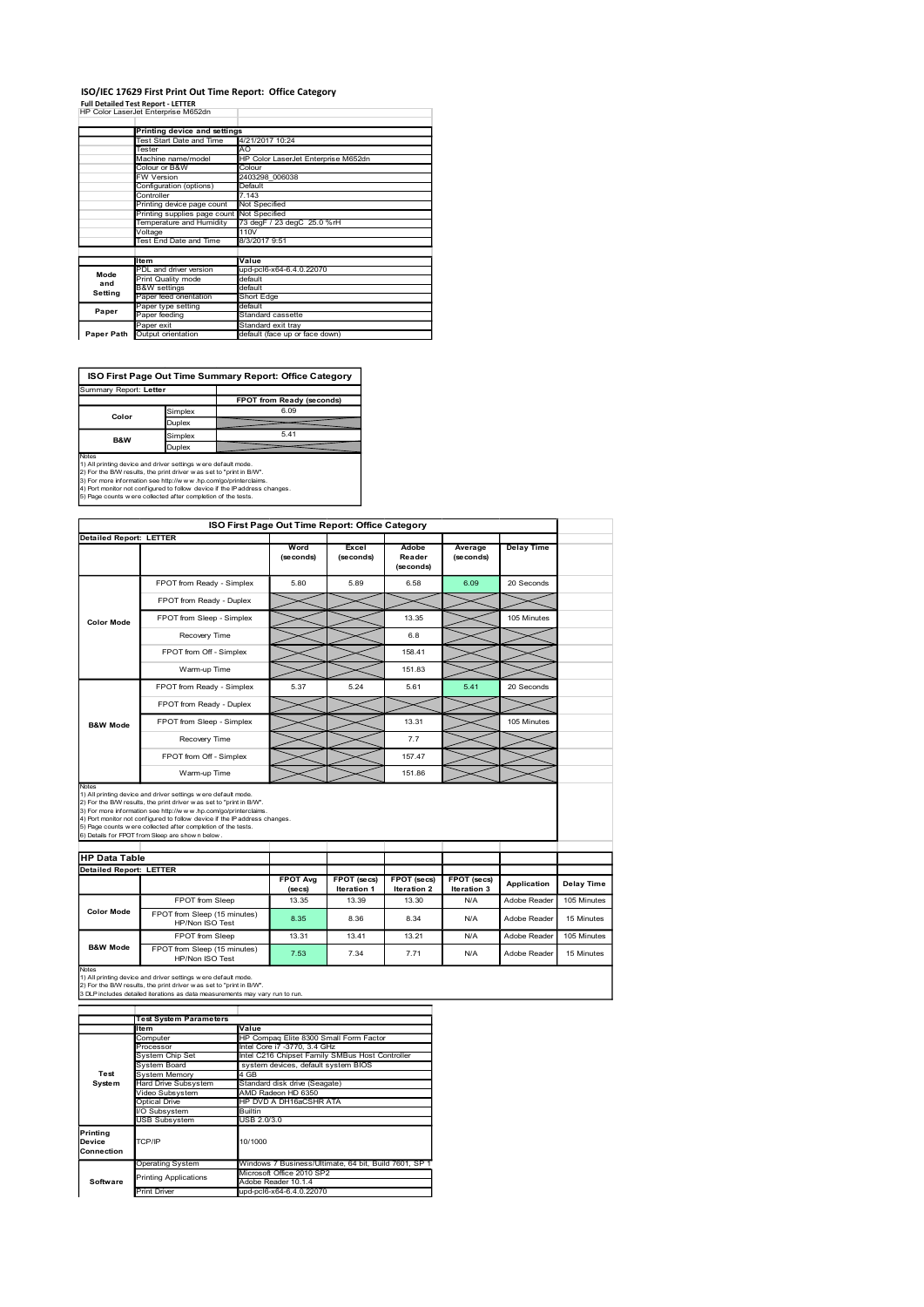#### ISO/IEC 17629 First Print Out Time Report: Office Category

| ISO/IEC 17629 First Print Out Time Report: Office Category                                                                                                                                                                                                                                                      |                              |                                                          |  |                                         |                                                         |                                                 |                              |                      |                   |  |
|-----------------------------------------------------------------------------------------------------------------------------------------------------------------------------------------------------------------------------------------------------------------------------------------------------------------|------------------------------|----------------------------------------------------------|--|-----------------------------------------|---------------------------------------------------------|-------------------------------------------------|------------------------------|----------------------|-------------------|--|
| <b>Full Detailed Test Report - LETTER</b>                                                                                                                                                                                                                                                                       |                              |                                                          |  |                                         |                                                         |                                                 |                              |                      |                   |  |
| HP Color LaserJet Enterprise M652dn                                                                                                                                                                                                                                                                             |                              |                                                          |  |                                         |                                                         |                                                 |                              |                      |                   |  |
|                                                                                                                                                                                                                                                                                                                 |                              | Printing device and settings<br>Test Start Date and Time |  | 4/21/2017 10:24                         |                                                         |                                                 |                              |                      |                   |  |
|                                                                                                                                                                                                                                                                                                                 | Tester<br>Machine name/model |                                                          |  | AO                                      | HP Color LaserJet Enterprise M652dn                     |                                                 |                              |                      |                   |  |
|                                                                                                                                                                                                                                                                                                                 | Colour or B&W<br>W Version   |                                                          |  | Colour<br>2403298_006038                |                                                         |                                                 |                              |                      |                   |  |
|                                                                                                                                                                                                                                                                                                                 |                              | Configuration (options)                                  |  | Default<br>7.143                        |                                                         |                                                 |                              |                      |                   |  |
|                                                                                                                                                                                                                                                                                                                 | Controller                   | Printing device page count                               |  | Not Specified                           |                                                         |                                                 |                              |                      |                   |  |
|                                                                                                                                                                                                                                                                                                                 |                              | Printing supplies page count<br>Temperature and Humidity |  | Not Specified                           | 73 degF / 23 degC 25.0 %rH                              |                                                 |                              |                      |                   |  |
|                                                                                                                                                                                                                                                                                                                 | Voltage                      | Test End Date and Time                                   |  | 110V<br>8/3/2017 9:51                   |                                                         |                                                 |                              |                      |                   |  |
|                                                                                                                                                                                                                                                                                                                 | Item                         |                                                          |  | Value                                   |                                                         |                                                 |                              |                      |                   |  |
| Mode                                                                                                                                                                                                                                                                                                            |                              | PDL and driver version<br>Print Quality mode             |  | default                                 | upd-pcl6-x64-6.4.0.22070                                |                                                 |                              |                      |                   |  |
| and<br><b>Setting</b>                                                                                                                                                                                                                                                                                           | <b>B&amp;W</b> settings      |                                                          |  | default                                 |                                                         |                                                 |                              |                      |                   |  |
| Paper                                                                                                                                                                                                                                                                                                           |                              | Paper feed orientation<br>Paper type setting             |  | Short Edge<br>default                   |                                                         |                                                 |                              |                      |                   |  |
|                                                                                                                                                                                                                                                                                                                 | Paper feeding<br>Paper exit  |                                                          |  | Standard cassette<br>Standard exit tray |                                                         |                                                 |                              |                      |                   |  |
| Paper Path Output orientation                                                                                                                                                                                                                                                                                   |                              |                                                          |  |                                         | default (face up or face down)                          |                                                 |                              |                      |                   |  |
|                                                                                                                                                                                                                                                                                                                 |                              |                                                          |  |                                         |                                                         |                                                 |                              |                      |                   |  |
|                                                                                                                                                                                                                                                                                                                 |                              |                                                          |  |                                         | ISO First Page Out Time Summary Report: Office Category |                                                 |                              |                      |                   |  |
|                                                                                                                                                                                                                                                                                                                 |                              |                                                          |  |                                         | FPOT from Ready (seconds)                               |                                                 |                              |                      |                   |  |
| Summary Report: Letter                                                                                                                                                                                                                                                                                          |                              |                                                          |  |                                         |                                                         |                                                 |                              |                      |                   |  |
| Color                                                                                                                                                                                                                                                                                                           |                              | Simplex                                                  |  |                                         | 6.09                                                    |                                                 |                              |                      |                   |  |
|                                                                                                                                                                                                                                                                                                                 |                              | Duplex                                                   |  |                                         | 5.41                                                    |                                                 |                              |                      |                   |  |
| B&W                                                                                                                                                                                                                                                                                                             |                              | Simplex<br>Duplex                                        |  |                                         |                                                         |                                                 |                              |                      |                   |  |
|                                                                                                                                                                                                                                                                                                                 |                              |                                                          |  |                                         |                                                         |                                                 |                              |                      |                   |  |
|                                                                                                                                                                                                                                                                                                                 |                              |                                                          |  |                                         |                                                         |                                                 |                              |                      |                   |  |
| Notes<br>1) All printing device and driver settings were default mode.<br>1) As primary device and universe<br>turns were used to "print in BAV".<br>2) For the BAV results, the print driver was set to "print in BAV".<br>3) For more information see http://www.hp.com/grimiterialines.<br>4) Port monitor n |                              |                                                          |  |                                         |                                                         |                                                 |                              |                      |                   |  |
| <b>Detailed Report: LETTER</b>                                                                                                                                                                                                                                                                                  |                              |                                                          |  |                                         |                                                         | ISO First Page Out Time Report: Office Category |                              |                      |                   |  |
|                                                                                                                                                                                                                                                                                                                 |                              |                                                          |  |                                         | Word<br>(seconds)                                       | Excel<br>(seconds)                              | Adobe<br>Reader<br>(seconds) | Average<br>(seconds) | <b>Delay Time</b> |  |

## ISO First Page Out Time Summary Report: Office Category

| Summary Report: Letter |               |                           |
|------------------------|---------------|---------------------------|
|                        |               | FPOT from Ready (seconds) |
| Color                  | Simplex       | 6.09                      |
|                        | <b>Duplex</b> |                           |
| B&W                    | Simplex       | 5.41                      |
|                        | <b>Duplex</b> |                           |

|                                                  | FW Version                                                                                                                                                                                                     | 2403298_006038<br>Default     |                                                      |                                                       |                                   |                                   |                   |                   |
|--------------------------------------------------|----------------------------------------------------------------------------------------------------------------------------------------------------------------------------------------------------------------|-------------------------------|------------------------------------------------------|-------------------------------------------------------|-----------------------------------|-----------------------------------|-------------------|-------------------|
|                                                  | Configuration (options)<br>Controller                                                                                                                                                                          | 7.143                         |                                                      |                                                       |                                   |                                   |                   |                   |
|                                                  | Printing device page count<br>Printing supplies page count Not Specified                                                                                                                                       | Not Specified                 |                                                      |                                                       |                                   |                                   |                   |                   |
|                                                  | Temperature and Humidity<br>Voltage<br>110V                                                                                                                                                                    |                               | 73 degF / 23 degC 25.0 %rH                           |                                                       |                                   |                                   |                   |                   |
|                                                  | Test End Date and Time                                                                                                                                                                                         | 8/3/2017 9:51                 |                                                      |                                                       |                                   |                                   |                   |                   |
|                                                  | Item<br>PDL and driver version                                                                                                                                                                                 | Value                         | upd-pcl6-x64-6.4.0.22070                             |                                                       |                                   |                                   |                   |                   |
| Mode<br>and                                      | Print Quality mode<br><b>B&amp;W</b> settings                                                                                                                                                                  | default<br>default            |                                                      |                                                       |                                   |                                   |                   |                   |
| Setting                                          | Paper feed orientation                                                                                                                                                                                         | Short Edge<br>default         |                                                      |                                                       |                                   |                                   |                   |                   |
| Paper                                            | Paper type setting<br>Paper feeding                                                                                                                                                                            |                               | Standard cassette                                    |                                                       |                                   |                                   |                   |                   |
| Paper Path                                       | Paper exit<br>Output orientation                                                                                                                                                                               |                               | Standard exit tray<br>default (face up or face down) |                                                       |                                   |                                   |                   |                   |
|                                                  |                                                                                                                                                                                                                |                               |                                                      |                                                       |                                   |                                   |                   |                   |
| Summary Report: Letter                           | ISO First Page Out Time Summary Report: Office Category                                                                                                                                                        |                               | FPOT from Ready (seconds)                            |                                                       |                                   |                                   |                   |                   |
| Color                                            | Simplex<br>Duplex                                                                                                                                                                                              |                               | 6.09                                                 |                                                       |                                   |                                   |                   |                   |
| B&W                                              | Simplex<br>Duplex                                                                                                                                                                                              |                               | 5.41                                                 |                                                       |                                   |                                   |                   |                   |
| Notes                                            |                                                                                                                                                                                                                |                               |                                                      |                                                       |                                   |                                   |                   |                   |
|                                                  | 1) All printing device and driver settings were default mode.<br>2) For the B/W results, the print driver was set to "print in B/W".                                                                           |                               |                                                      |                                                       |                                   |                                   |                   |                   |
|                                                  | 3) For more information see http://www.hp.com/go/printerclaims.<br>4) Port monitor not configured to follow device if the IP address changes.<br>5) Page counts w ere collected after completion of the tests. |                               |                                                      |                                                       |                                   |                                   |                   |                   |
|                                                  |                                                                                                                                                                                                                |                               |                                                      | ISO First Page Out Time Report: Office Category       |                                   |                                   |                   |                   |
| <b>Detailed Report: LETTER</b>                   |                                                                                                                                                                                                                |                               |                                                      |                                                       |                                   |                                   |                   |                   |
|                                                  |                                                                                                                                                                                                                |                               | Word<br>(seconds)                                    | Excel<br>(seconds)                                    | Adobe<br>Reader                   | Average<br>(se conds)             | <b>Delay Time</b> |                   |
|                                                  |                                                                                                                                                                                                                |                               | 5.80                                                 | 5.89                                                  | (seconds)<br>6.58                 | 6.09                              | 20 Seconds        |                   |
|                                                  | FPOT from Ready - Simplex                                                                                                                                                                                      |                               |                                                      |                                                       |                                   |                                   |                   |                   |
|                                                  | FPOT from Ready - Duplex                                                                                                                                                                                       |                               |                                                      |                                                       |                                   |                                   |                   |                   |
| <b>Color Mode</b>                                | FPOT from Sleep - Simplex                                                                                                                                                                                      |                               |                                                      |                                                       | 13.35                             |                                   | 105 Minutes       |                   |
|                                                  | Recovery Time                                                                                                                                                                                                  |                               |                                                      |                                                       | 6.8                               |                                   |                   |                   |
|                                                  | FPOT from Off - Simplex                                                                                                                                                                                        |                               |                                                      |                                                       | 158.41                            |                                   |                   |                   |
|                                                  | Warm-up Time                                                                                                                                                                                                   |                               |                                                      |                                                       | 151.83                            |                                   |                   |                   |
|                                                  | FPOT from Ready - Simplex                                                                                                                                                                                      |                               | 5.37                                                 | 5.24                                                  | 5.61                              | 5.41                              | 20 Seconds        |                   |
|                                                  | FPOT from Ready - Duplex                                                                                                                                                                                       |                               |                                                      |                                                       |                                   |                                   |                   |                   |
| <b>B&amp;W Mode</b>                              | FPOT from Sleep - Simplex                                                                                                                                                                                      |                               |                                                      |                                                       | 13.31                             |                                   | 105 Minutes       |                   |
|                                                  | Recovery Time                                                                                                                                                                                                  |                               |                                                      |                                                       | 7.7                               |                                   |                   |                   |
|                                                  | FPOT from Off - Simplex                                                                                                                                                                                        |                               |                                                      |                                                       | 157.47                            |                                   |                   |                   |
|                                                  | Warm-up Time                                                                                                                                                                                                   |                               |                                                      |                                                       | 151.86                            |                                   |                   |                   |
| Notes                                            | 1) All printing device and driver settings were default mode.                                                                                                                                                  |                               |                                                      |                                                       |                                   |                                   |                   |                   |
|                                                  | 2) For the B/W results, the print driver was set to "print in B/W".<br>3) For more information see http://www.hp.com/go/printerclaims.                                                                         |                               |                                                      |                                                       |                                   |                                   |                   |                   |
|                                                  | 4) Port monitor not configured to follow device if the IP address changes.<br>5) Page counts w ere collected after completion of the tests.                                                                    |                               |                                                      |                                                       |                                   |                                   |                   |                   |
|                                                  | 6) Details for FPOT from Sleep are shown below.                                                                                                                                                                |                               |                                                      |                                                       |                                   |                                   |                   |                   |
|                                                  |                                                                                                                                                                                                                |                               |                                                      |                                                       |                                   |                                   |                   |                   |
| <b>HP Data Table<br/>Detailed Report: LETTER</b> |                                                                                                                                                                                                                |                               |                                                      |                                                       |                                   |                                   |                   |                   |
|                                                  |                                                                                                                                                                                                                |                               | <b>FPOT Avg</b><br>(secs)                            | FPOT (secs)<br>Iteration 1                            | <b>FPOT</b> (secs)<br>Iteration 2 | <b>FPOT</b> (secs)<br>Iteration 3 | Application       | <b>Delay Time</b> |
|                                                  | FPOT from Sleep                                                                                                                                                                                                |                               | 13.35                                                | 13.39                                                 | 13.30                             | N/A                               | Adobe Reader      | 105 Minutes       |
| <b>Color Mode</b>                                | FPOT from Sleep (15 minutes)<br>HP/Non ISO Test                                                                                                                                                                |                               | 8.35                                                 | 8.36                                                  | 8.34                              | N/A                               | Adobe Reader      | 15 Minutes        |
|                                                  | FPOT from Sleep                                                                                                                                                                                                |                               | 13.31                                                | 13.41                                                 | 13.21                             | <b>N/A</b>                        | Adobe Reader      | 105 Minutes       |
| <b>B&amp;W Mode</b>                              | FPOT from Sleep (15 minutes)<br>HP/Non ISO Test                                                                                                                                                                |                               | 7.53                                                 | 7.34                                                  | 7.71                              | N/A                               | Adobe Reader      | 15 Minutes        |
| Notes                                            |                                                                                                                                                                                                                |                               |                                                      |                                                       |                                   |                                   |                   |                   |
|                                                  | 1) All printing device and driver settings were default mode.<br>2) For the B/W results, the print driver w as set to "print in B/W".                                                                          |                               |                                                      |                                                       |                                   |                                   |                   |                   |
|                                                  | 3 DLP includes detailed iterations as data measurements may vary run to run.                                                                                                                                   |                               |                                                      |                                                       |                                   |                                   |                   |                   |
|                                                  | <b>Test System Parameters</b>                                                                                                                                                                                  |                               |                                                      |                                                       |                                   |                                   |                   |                   |
|                                                  | Item<br>Computer                                                                                                                                                                                               | Value                         |                                                      | HP Compaq Elite 8300 Small Form Factor                |                                   |                                   |                   |                   |
|                                                  | Processor<br>System Chip Set                                                                                                                                                                                   |                               | Intel Core i7 -3770, 3.4 GHz                         | Intel C216 Chipset Family SMBus Host Controller       |                                   |                                   |                   |                   |
|                                                  | System Board                                                                                                                                                                                                   |                               | system devices, default system BIOS                  |                                                       |                                   |                                   |                   |                   |
| Test<br>System                                   | System Memory<br>Hard Drive Subsystem                                                                                                                                                                          | 4 GB                          | Standard disk drive (Seagate)                        |                                                       |                                   |                                   |                   |                   |
|                                                  | Video Subsystem<br><b>Optical Drive</b>                                                                                                                                                                        |                               | AMD Radeon HD 6350<br>HP DVD A DH16aCSHR ATA         |                                                       |                                   |                                   |                   |                   |
|                                                  | I/O Subsystem<br><b>USB Subsystem</b>                                                                                                                                                                          | <b>Builtin</b><br>USB 2.0/3.0 |                                                      |                                                       |                                   |                                   |                   |                   |
| Printing                                         |                                                                                                                                                                                                                |                               |                                                      |                                                       |                                   |                                   |                   |                   |
| Device<br>Connection                             | TCP/IP                                                                                                                                                                                                         | 10/1000                       |                                                      |                                                       |                                   |                                   |                   |                   |
|                                                  | <b>Operating System</b>                                                                                                                                                                                        |                               |                                                      | Windows 7 Business/Ultimate, 64 bit, Build 7601, SP 1 |                                   |                                   |                   |                   |
| Software                                         | <b>Printing Applications</b>                                                                                                                                                                                   |                               | Microsoft Office 2010 SP2<br>Adobe Reader 10.1.4     |                                                       |                                   |                                   |                   |                   |
|                                                  | <b>Print Driver</b>                                                                                                                                                                                            |                               | upd-pcl6-x64-6.4.0.22070                             |                                                       |                                   |                                   |                   |                   |
|                                                  |                                                                                                                                                                                                                |                               |                                                      |                                                       |                                   |                                   |                   |                   |
|                                                  |                                                                                                                                                                                                                |                               |                                                      |                                                       |                                   |                                   |                   |                   |
|                                                  |                                                                                                                                                                                                                |                               |                                                      |                                                       |                                   |                                   |                   |                   |
|                                                  |                                                                                                                                                                                                                |                               |                                                      |                                                       |                                   |                                   |                   |                   |
|                                                  |                                                                                                                                                                                                                |                               |                                                      |                                                       |                                   |                                   |                   |                   |
|                                                  |                                                                                                                                                                                                                |                               |                                                      |                                                       |                                   |                                   |                   |                   |

|                                  | <b>Test System Parameters</b> |                                                       |  |  |  |
|----------------------------------|-------------------------------|-------------------------------------------------------|--|--|--|
|                                  | ltem                          | Value                                                 |  |  |  |
|                                  | Computer                      | HP Compag Elite 8300 Small Form Factor                |  |  |  |
|                                  | Processor                     | Intel Core i7 -3770, 3.4 GHz                          |  |  |  |
|                                  | System Chip Set               | Intel C216 Chipset Family SMBus Host Controller       |  |  |  |
|                                  | System Board                  | system devices, default system BIOS                   |  |  |  |
| Test                             | <b>System Memory</b>          | 4 GB                                                  |  |  |  |
| System                           | <b>Hard Drive Subsystem</b>   | Standard disk drive (Seagate)                         |  |  |  |
|                                  | Video Subsystem               | AMD Radeon HD 6350                                    |  |  |  |
|                                  | Optical Drive                 | HP DVD A DH16aCSHR ATA                                |  |  |  |
|                                  | I/O Subsystem                 | Builtin                                               |  |  |  |
|                                  | <b>USB Subsystem</b>          | USB 2.0/3.0                                           |  |  |  |
| Printing<br>Device<br>Connection | TCP/IP                        | 10/1000                                               |  |  |  |
|                                  | <b>Operating System</b>       | Windows 7 Business/Ultimate, 64 bit, Build 7601, SP 1 |  |  |  |
|                                  | <b>Printing Applications</b>  | Microsoft Office 2010 SP2                             |  |  |  |
| Software                         |                               | Adobe Reader 10.1.4                                   |  |  |  |
|                                  | <b>Print Driver</b>           | upd-pcl6-x64-6.4.0.22070                              |  |  |  |